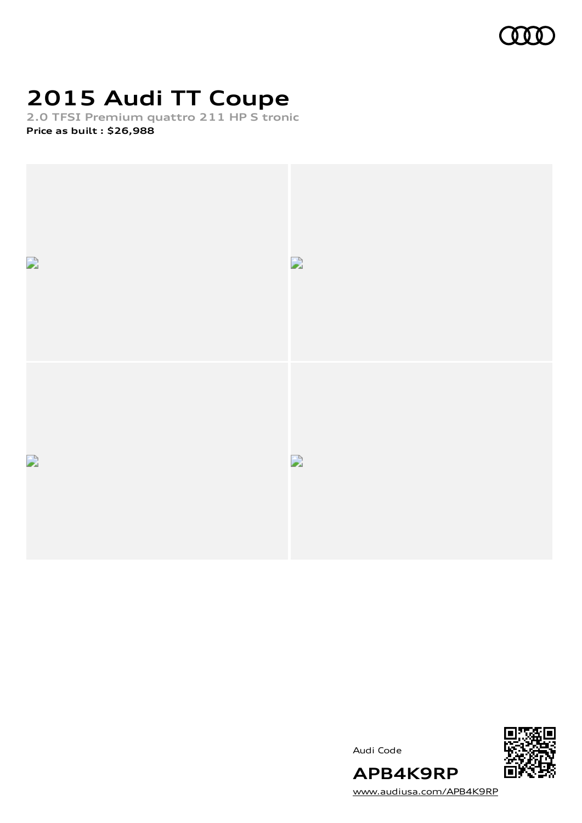

# **2015 Audi TT Coupe**

**2.0 TFSI Premium quattro 211 HP S tronic Price as built [:](#page-9-0) \$26,988**



Audi Code



[www.audiusa.com/APB4K9RP](https://www.audiusa.com/APB4K9RP)

**APB4K9RP**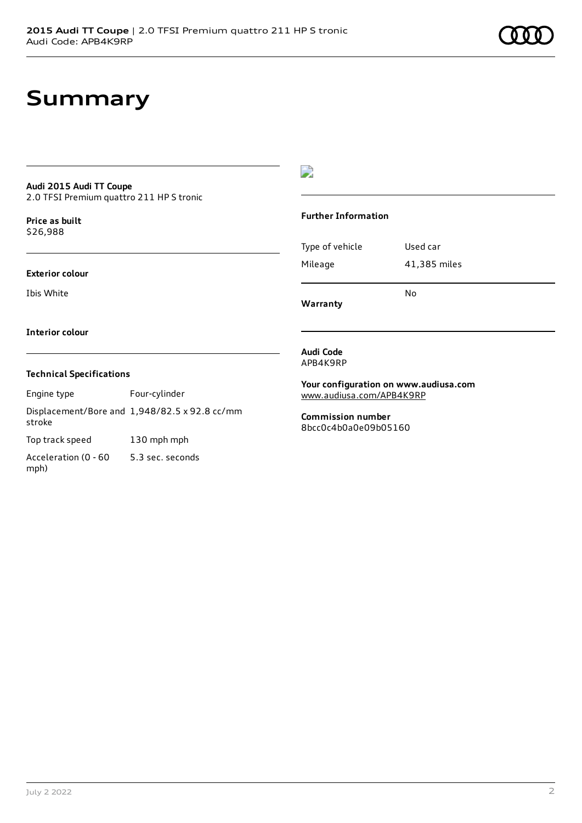# **Summary**

# **Audi 2015 Audi TT Coupe**

2.0 TFSI Premium quattro 211 HP S tronic

**Price as buil[t](#page-9-0)** \$26,988

#### **Exterior colour**

Ibis White

### D

### **Further Information**

|                 | N٥           |
|-----------------|--------------|
| Mileage         | 41,385 miles |
| Type of vehicle | Used car     |

**Warranty**

#### **Interior colour**

### **Technical Specifications**

Engine type Four-cylinder

Displacement/Bore and 1,948/82.5 x 92.8 cc/mm stroke Top track speed 130 mph mph

Acceleration (0 - 60 mph) 5.3 sec. seconds

#### **Audi Code** APB4K9RP

**Your configuration on www.audiusa.com**

[www.audiusa.com/APB4K9RP](https://www.audiusa.com/APB4K9RP)

**Commission number** 8bcc0c4b0a0e09b05160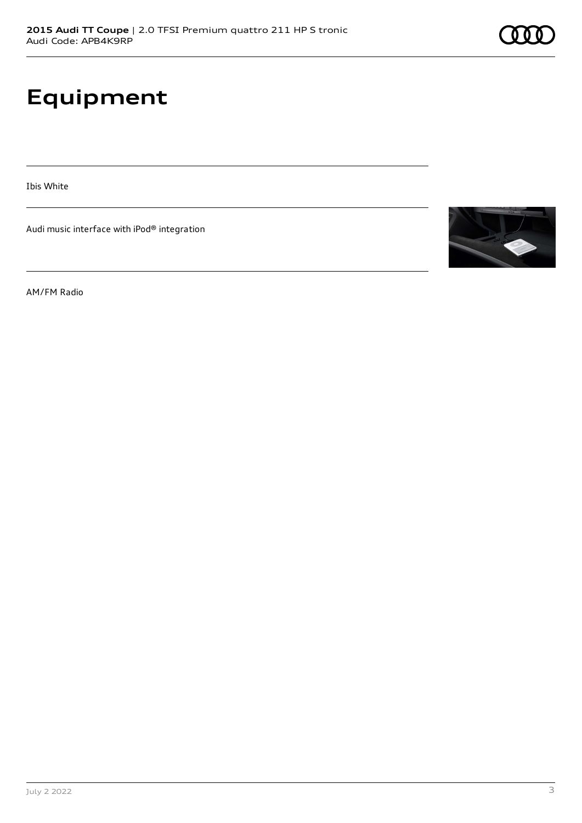# **Equipment**

Ibis White

Audi music interface with iPod® integration

AM/FM Radio

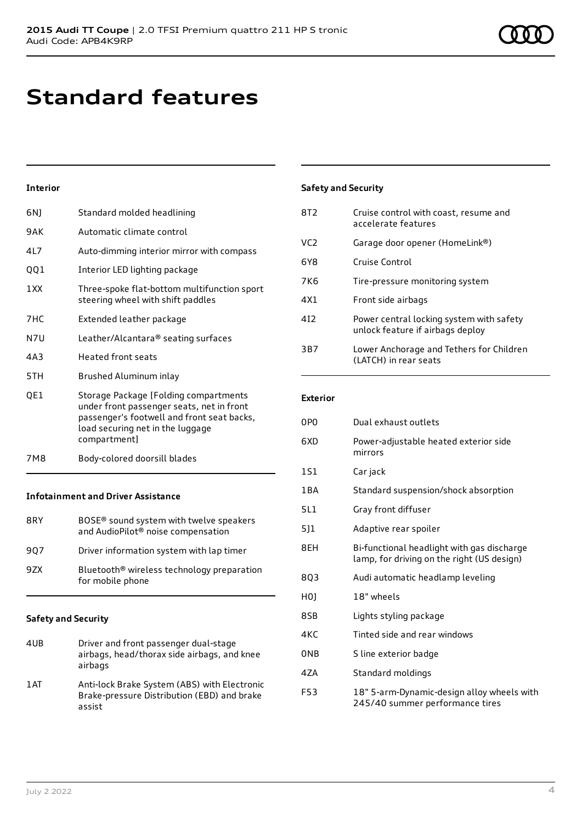# **Standard features**

### **Interior**

| 6N)  | Standard molded headlining                                                                                                                                                           |
|------|--------------------------------------------------------------------------------------------------------------------------------------------------------------------------------------|
| 9AK  | Automatic climate control                                                                                                                                                            |
| 4L7  | Auto-dimming interior mirror with compass                                                                                                                                            |
| QQ1  | Interior LED lighting package                                                                                                                                                        |
| 1 XX | Three-spoke flat-bottom multifunction sport<br>steering wheel with shift paddles                                                                                                     |
| 7HC  | Extended leather package                                                                                                                                                             |
| N7U  | Leather/Alcantara® seating surfaces                                                                                                                                                  |
| 4A3  | <b>Heated front seats</b>                                                                                                                                                            |
| 5TH  | Brushed Aluminum inlay                                                                                                                                                               |
| QE1  | Storage Package [Folding compartments<br>under front passenger seats, net in front<br>passenger's footwell and front seat backs,<br>load securing net in the luggage<br>compartment] |
| 7M8  | Body-colored doorsill blades                                                                                                                                                         |

### **Infotainment and Driver Assistance**

| 8RY | BOSE <sup>®</sup> sound system with twelve speakers<br>and AudioPilot <sup>®</sup> noise compensation |
|-----|-------------------------------------------------------------------------------------------------------|
| 907 | Driver information system with lap timer                                                              |
| 9ZX | Bluetooth <sup>®</sup> wireless technology preparation<br>for mobile phone                            |

### **Safety and Security**

assist

| 4UB  | Driver and front passenger dual-stage<br>airbags, head/thorax side airbags, and knee<br>airbags |
|------|-------------------------------------------------------------------------------------------------|
| 1 AT | Anti-lock Brake System (ABS) with Electronic<br>Brake-pressure Distribution (EBD) and brake     |

| Three-spoke flat-bottom multifunction sport<br>steering wheel with shift paddles |
|----------------------------------------------------------------------------------|
| Extended leather package                                                         |
| Leather/Alcantara® seating surfaces                                              |

## **Safety and Security**

| 8T2             | Cruise control with coast, resume and<br>accelerate features                 |
|-----------------|------------------------------------------------------------------------------|
| VC <sub>2</sub> | Garage door opener (HomeLink®)                                               |
| 6Y8             | Cruise Control                                                               |
| 7K6             | Tire-pressure monitoring system                                              |
| 4X1             | Front side airbags                                                           |
| 412             | Power central locking system with safety<br>unlock feature if airbags deploy |
| 3B7             | Lower Anchorage and Tethers for Children<br>(LATCH) in rear seats            |

### **Exterior**

| 0PO        | Dual exhaust outlets                                                                     |
|------------|------------------------------------------------------------------------------------------|
| 6XD        | Power-adjustable heated exterior side<br>mirrors                                         |
| <b>1S1</b> | Car jack                                                                                 |
| 1 B A      | Standard suspension/shock absorption                                                     |
| 5L1        | Gray front diffuser                                                                      |
| 5]1        | Adaptive rear spoiler                                                                    |
| 8EH        | Bi-functional headlight with gas discharge<br>lamp, for driving on the right (US design) |
| 803        | Audi automatic headlamp leveling                                                         |
| H0J        | 18" wheels                                                                               |
| 8SB        | Lights styling package                                                                   |
| 4KC        | Tinted side and rear windows                                                             |
| ONB        | S line exterior badge                                                                    |
| 4ZA        | Standard moldings                                                                        |
| F53        | 18" 5-arm-Dynamic-design alloy wheels with<br>245/40 summer performance tires            |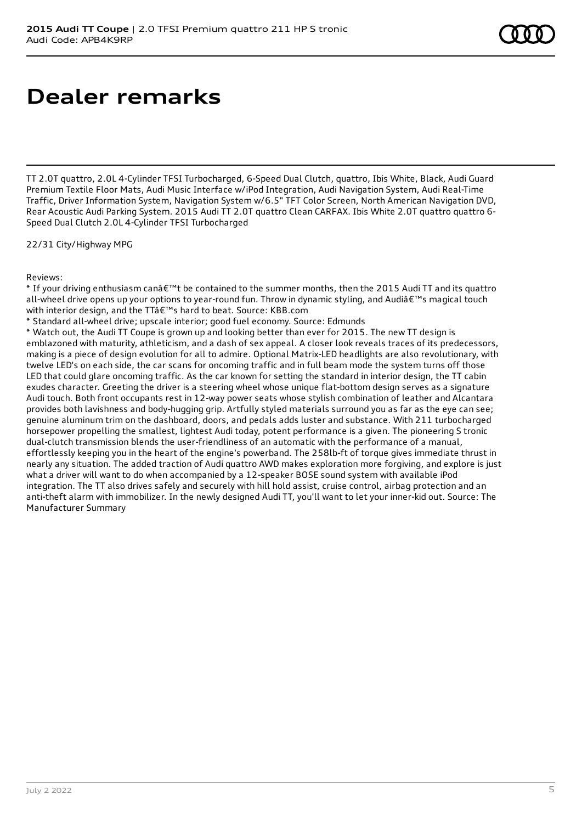# **Dealer remarks**

TT 2.0T quattro, 2.0L 4-Cylinder TFSI Turbocharged, 6-Speed Dual Clutch, quattro, Ibis White, Black, Audi Guard Premium Textile Floor Mats, Audi Music Interface w/iPod Integration, Audi Navigation System, Audi Real-Time Traffic, Driver Information System, Navigation System w/6.5" TFT Color Screen, North American Navigation DVD, Rear Acoustic Audi Parking System. 2015 Audi TT 2.0T quattro Clean CARFAX. Ibis White 2.0T quattro quattro 6- Speed Dual Clutch 2.0L 4-Cylinder TFSI Turbocharged

22/31 City/Highway MPG

Reviews:

\* If your driving enthusiasm can't be contained to the summer months, then the 2015 Audi TT and its quattro all-wheel drive opens up your options to year-round fun. Throw in dynamic styling, and Audi's magical touch with interior design, and the TTâ€<sup>™</sup>s hard to beat. Source: KBB.com

\* Standard all-wheel drive; upscale interior; good fuel economy. Source: Edmunds

\* Watch out, the Audi TT Coupe is grown up and looking better than ever for 2015. The new TT design is emblazoned with maturity, athleticism, and a dash of sex appeal. A closer look reveals traces of its predecessors, making is a piece of design evolution for all to admire. Optional Matrix-LED headlights are also revolutionary, with twelve LED's on each side, the car scans for oncoming traffic and in full beam mode the system turns off those LED that could glare oncoming traffic. As the car known for setting the standard in interior design, the TT cabin exudes character. Greeting the driver is a steering wheel whose unique flat-bottom design serves as a signature Audi touch. Both front occupants rest in 12-way power seats whose stylish combination of leather and Alcantara provides both lavishness and body-hugging grip. Artfully styled materials surround you as far as the eye can see; genuine aluminum trim on the dashboard, doors, and pedals adds luster and substance. With 211 turbocharged horsepower propelling the smallest, lightest Audi today, potent performance is a given. The pioneering S tronic dual-clutch transmission blends the user-friendliness of an automatic with the performance of a manual, effortlessly keeping you in the heart of the engine's powerband. The 258lb-ft of torque gives immediate thrust in nearly any situation. The added traction of Audi quattro AWD makes exploration more forgiving, and explore is just what a driver will want to do when accompanied by a 12-speaker BOSE sound system with available iPod integration. The TT also drives safely and securely with hill hold assist, cruise control, airbag protection and an anti-theft alarm with immobilizer. In the newly designed Audi TT, you'll want to let your inner-kid out. Source: The Manufacturer Summary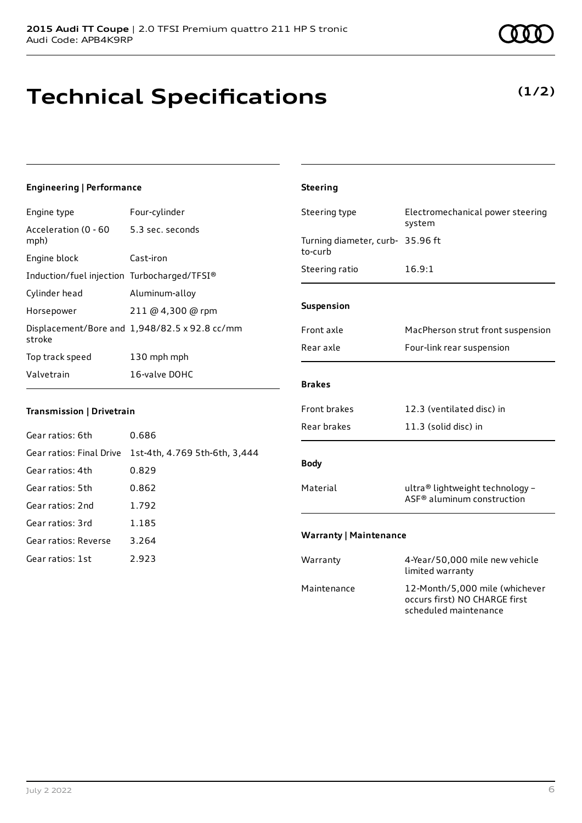# **Technical Specifications**

# **(1/2)**

### **Engineering | Performance**

| Engine type                                 | Four-cylinder                                 |
|---------------------------------------------|-----------------------------------------------|
| Acceleration (0 - 60<br>mph)                | 5.3 sec. seconds                              |
| Engine block                                | Cast-iron                                     |
| Induction/fuel injection Turbocharged/TFSI® |                                               |
| Cylinder head                               | Aluminum-alloy                                |
| Horsepower                                  | $211 \text{ @ } 4,300 \text{ @ } \text{rpm}$  |
| stroke                                      | Displacement/Bore and 1,948/82.5 x 92.8 cc/mm |
| Top track speed                             | 130 mph mph                                   |
| Valvetrain                                  | 16-valve DOHC                                 |

### **Transmission | Drivetrain**

| Gear ratios: 6th     | 0.686                                                  |
|----------------------|--------------------------------------------------------|
|                      | Gear ratios: Final Drive 1st-4th, 4.769 5th-6th, 3,444 |
| Gear ratios: 4th     | 0.829                                                  |
| Gear ratios: 5th     | 0.862                                                  |
| Gear ratios: 2nd     | 1.792                                                  |
| Gear ratios: 3rd     | 1.185                                                  |
| Gear ratios: Reverse | 3.264                                                  |
| Gear ratios: 1st     | 2.923                                                  |

# **Steering** Steering type Electromechanical power steering system Turning diameter, curb-35.96 ft to-curb Steering ratio 16.9:1 **Suspension** Front axle MacPherson strut front suspension Rear axle Four-link rear suspension **Brakes** Front brakes 12.3 (ventilated disc) in Rear brakes 11.3 (solid disc) in **Body** Material ultra® lightweight technology -ASF® aluminum construction **Warranty | Maintenance** Warranty 4-Year/50,000 mile new vehicle limited warranty Maintenance 12-Month/5,000 mile (whichever occurs first) NO CHARGE first

scheduled maintenance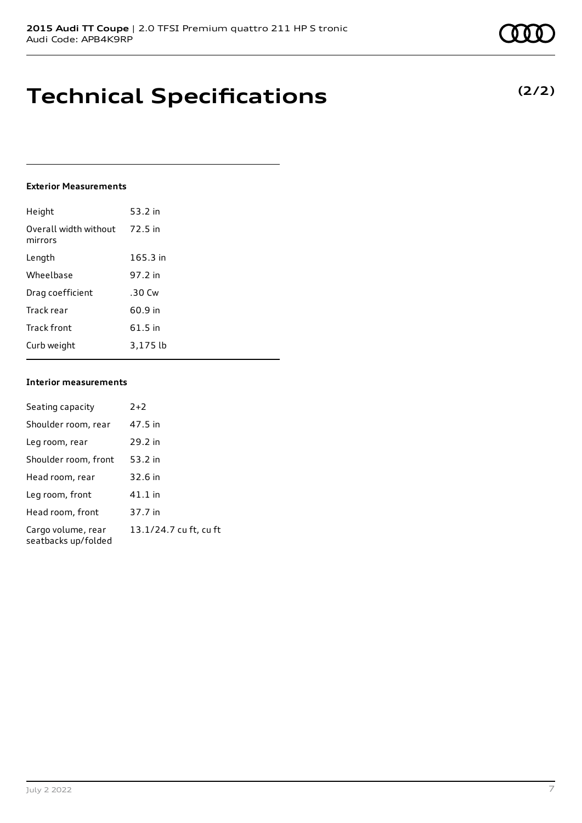# **Technical Specifications**

### **Exterior Measurements**

| Height                           | 53.2 in    |
|----------------------------------|------------|
| Overall width without<br>mirrors | 72.5 in    |
| Length                           | $165.3$ in |
| Wheelbase                        | 97.2 in    |
| Drag coefficient                 | .30 Cw     |
| Track rear                       | 60.9 in    |
| Track front                      | 61.5 in    |
| Curb weight                      | 3.175 lb   |

### **Interior measurements**

| Seating capacity                          | $2+2$                  |
|-------------------------------------------|------------------------|
| Shoulder room, rear                       | 47.5 in                |
| Leg room, rear                            | 29.2 in                |
| Shoulder room, front                      | 53.2 in                |
| Head room, rear                           | 32.6 in                |
| Leg room, front                           | $41.1$ in              |
| Head room, front                          | 37.7 in                |
| Cargo volume, rear<br>seatbacks up/folded | 13.1/24.7 cu ft, cu ft |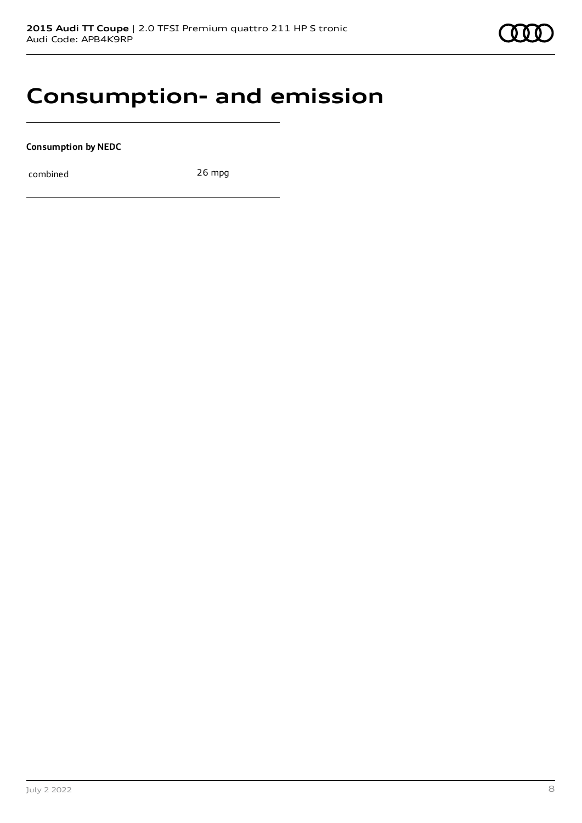# **Consumption- and emission**

**Consumption by NEDC**

combined 26 mpg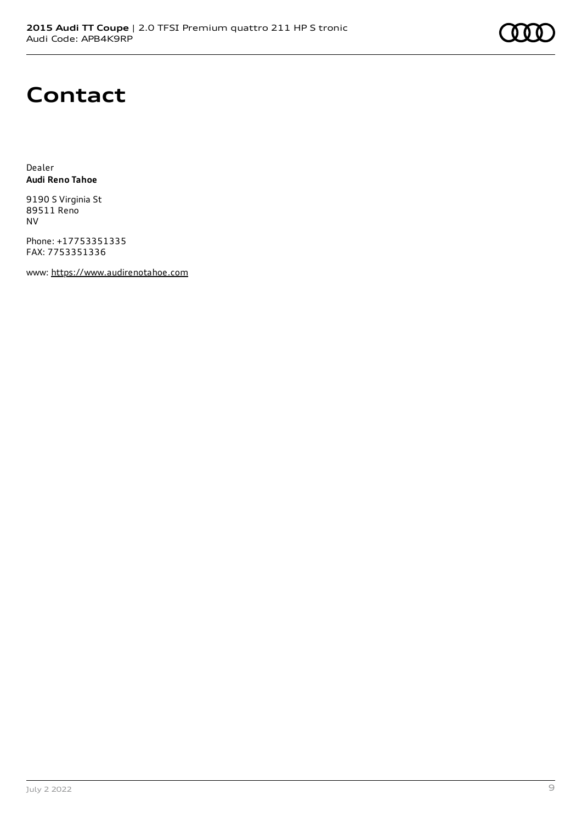

# **Contact**

Dealer **Audi Reno Tahoe**

9190 S Virginia St 89511 Reno NV

Phone: +17753351335 FAX: 7753351336

www: [https://www.audirenotahoe.com](https://www.audirenotahoe.com/)